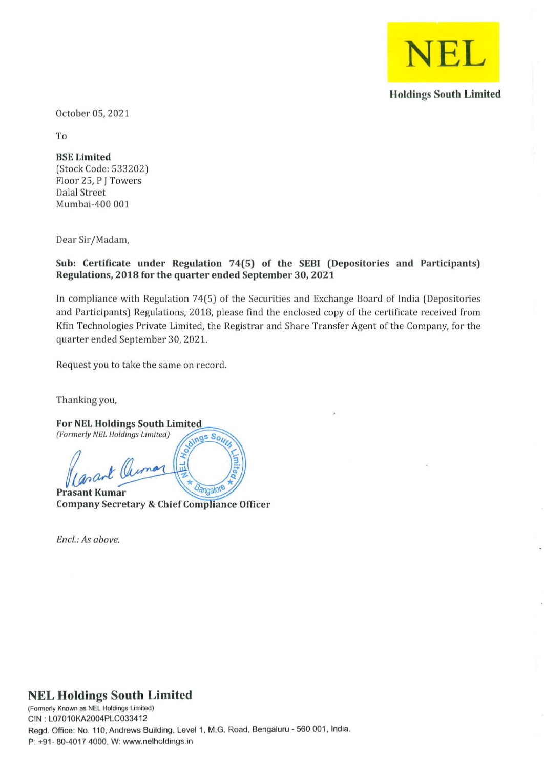

**Holdings South Limited** 

October OS, 2021

To

**BSE Limited**  (Stock Code: 533202) Floor 25, P J Towers Dalal Street Mumbai-400 001

Dear Sir/Madam,

## **Sub: Certificate under Regulation 74(5) of the SEBI (Depositories and Participants) Regulations, 2018 for the quarter ended September** 30, **2021**

In compliance with Regulation 74(5) of the Securities and Exchange Board of India (Depositories and Participants) Regulations, 2018, please find the enclosed copy of the certificate received from Kfin Technologies Private Limited, the Registrar and Share Transfer Agent of the Company, for the quarter ended September 30,2021.

Request you to take the same on record.

Thanking you,

**For NEL Holdings South Limited**  (Formerly NEL Holdings Limited)  $\sqrt{\log s} S_{Q_i}$ 1 Cleima **Prasant Kumar** 

**Company Secretary & Chief Compliance Officer** 

Encl.: As above.

## **NEL Holdings South Limited**

**(Formerly Known as NEt Holdings Limitod)**  CIN : L07010KA2004PLC033412 Regd. Office: No. *110.* Andrews Building. Level 1 , M.G. Road. Bengaluru - *560 001,* India. P: +91 · *80·4017* 4000, W: www.nelholdings.in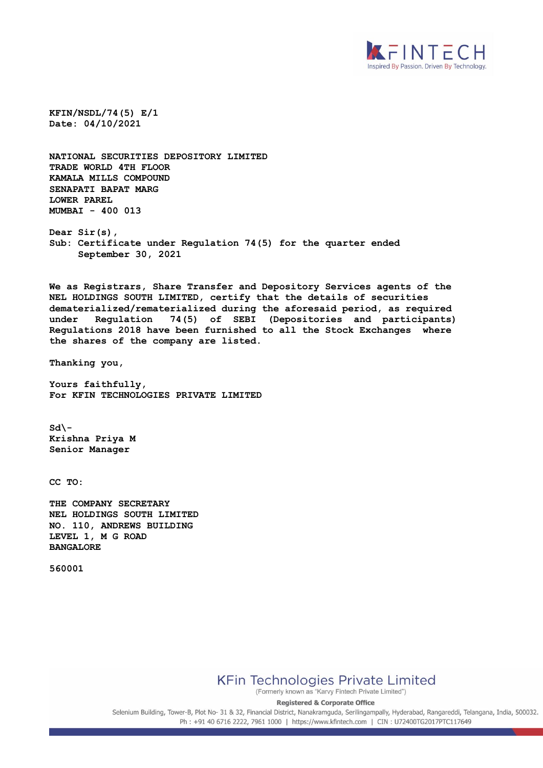

**KFIN/NSDL/74(5) E/1 Date: 04/10/2021**

**NATIONAL SECURITIES DEPOSITORY LIMITED TRADE WORLD 4TH FLOOR KAMALA MILLS COMPOUND SENAPATI BAPAT MARG LOWER PAREL MUMBAI - 400 013**

**Dear Sir(s), Sub: Certificate under Regulation 74(5) for the quarter ended September 30, 2021**

**We as Registrars, Share Transfer and Depository Services agents of the NEL HOLDINGS SOUTH LIMITED, certify that the details of securities dematerialized/rematerialized during the aforesaid period, as required under Regulation 74(5) of SEBI (Depositories and participants) Regulations 2018 have been furnished to all the Stock Exchanges where the shares of the company are listed.** 

**Thanking you,**

**Yours faithfully, For KFIN TECHNOLOGIES PRIVATE LIMITED**

**Sd\- Krishna Priya M Senior Manager** 

**CC TO:**

**THE COMPANY SECRETARY NEL HOLDINGS SOUTH LIMITED NO. 110, ANDREWS BUILDING LEVEL 1, M G ROAD BANGALORE** 

**560001**

**KFin Technologies Private Limited** 

(Formerly known as "Karvy Fintech Private Limited")

**Registered & Corporate Office** Selenium Building, Tower-B, Plot No- 31 & 32, Financial District, Nanakramguda, Serilingampally, Hyderabad, Rangareddi, Telangana, India, 500032.

Ph: +91 40 6716 2222, 7961 1000 | https://www.kfintech.com | CIN: U72400TG2017PTC117649